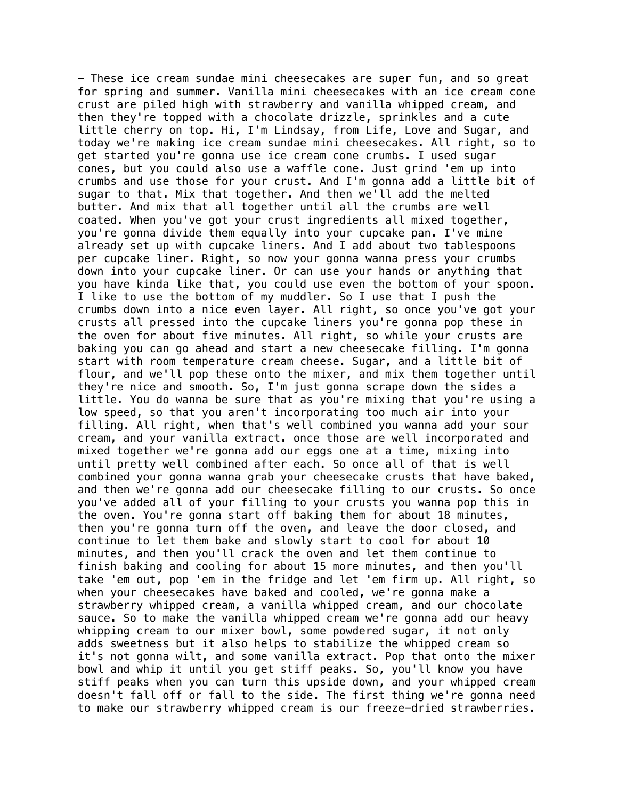- These ice cream sundae mini cheesecakes are super fun, and so great for spring and summer. Vanilla mini cheesecakes with an ice cream cone crust are piled high with strawberry and vanilla whipped cream, and then they're topped with a chocolate drizzle, sprinkles and a cute little cherry on top. Hi, I'm Lindsay, from Life, Love and Sugar, and today we're making ice cream sundae mini cheesecakes. All right, so to get started you're gonna use ice cream cone crumbs. I used sugar cones, but you could also use a waffle cone. Just grind 'em up into crumbs and use those for your crust. And I'm gonna add a little bit of sugar to that. Mix that together. And then we'll add the melted butter. And mix that all together until all the crumbs are well coated. When you've got your crust ingredients all mixed together, you're gonna divide them equally into your cupcake pan. I've mine already set up with cupcake liners. And I add about two tablespoons per cupcake liner. Right, so now your gonna wanna press your crumbs down into your cupcake liner. Or can use your hands or anything that you have kinda like that, you could use even the bottom of your spoon. I like to use the bottom of my muddler. So I use that I push the crumbs down into a nice even layer. All right, so once you've got your crusts all pressed into the cupcake liners you're gonna pop these in the oven for about five minutes. All right, so while your crusts are baking you can go ahead and start a new cheesecake filling. I'm gonna start with room temperature cream cheese. Sugar, and a little bit of flour, and we'll pop these onto the mixer, and mix them together until they're nice and smooth. So, I'm just gonna scrape down the sides a little. You do wanna be sure that as you're mixing that you're using a low speed, so that you aren't incorporating too much air into your filling. All right, when that's well combined you wanna add your sour cream, and your vanilla extract. once those are well incorporated and mixed together we're gonna add our eggs one at a time, mixing into until pretty well combined after each. So once all of that is well combined your gonna wanna grab your cheesecake crusts that have baked, and then we're gonna add our cheesecake filling to our crusts. So once you've added all of your filling to your crusts you wanna pop this in the oven. You're gonna start off baking them for about 18 minutes, then you're gonna turn off the oven, and leave the door closed, and continue to let them bake and slowly start to cool for about 10 minutes, and then you'll crack the oven and let them continue to finish baking and cooling for about 15 more minutes, and then you'll take 'em out, pop 'em in the fridge and let 'em firm up. All right, so when your cheesecakes have baked and cooled, we're gonna make a strawberry whipped cream, a vanilla whipped cream, and our chocolate sauce. So to make the vanilla whipped cream we're gonna add our heavy whipping cream to our mixer bowl, some powdered sugar, it not only adds sweetness but it also helps to stabilize the whipped cream so it's not gonna wilt, and some vanilla extract. Pop that onto the mixer bowl and whip it until you get stiff peaks. So, you'll know you have stiff peaks when you can turn this upside down, and your whipped cream doesn't fall off or fall to the side. The first thing we're gonna need to make our strawberry whipped cream is our freeze-dried strawberries.